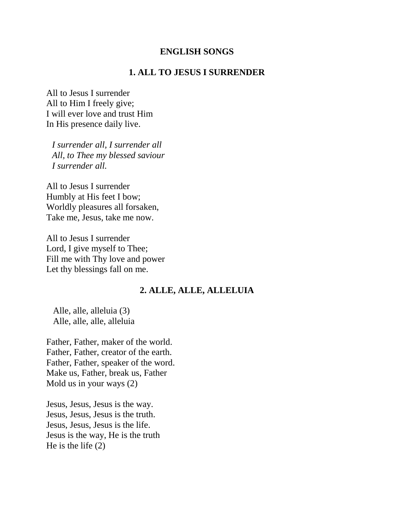### **ENGLISH SONGS**

### **1. ALL TO JESUS I SURRENDER**

All to Jesus I surrender All to Him I freely give; I will ever love and trust Him In His presence daily live.

*I surrender all, I surrender all All, to Thee my blessed saviour I surrender all.*

All to Jesus I surrender Humbly at His feet I bow; Worldly pleasures all forsaken, Take me, Jesus, take me now.

All to Jesus I surrender Lord, I give myself to Thee; Fill me with Thy love and power Let thy blessings fall on me.

### **2. ALLE, ALLE, ALLELUIA**

 Alle, alle, alleluia (3) Alle, alle, alle, alleluia

Father, Father, maker of the world. Father, Father, creator of the earth. Father, Father, speaker of the word. Make us, Father, break us, Father Mold us in your ways (2)

Jesus, Jesus, Jesus is the way. Jesus, Jesus, Jesus is the truth. Jesus, Jesus, Jesus is the life. Jesus is the way, He is the truth He is the life (2)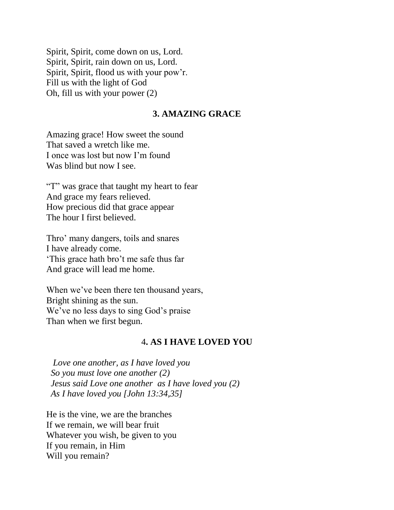Spirit, Spirit, come down on us, Lord. Spirit, Spirit, rain down on us, Lord. Spirit, Spirit, flood us with your pow'r. Fill us with the light of God Oh, fill us with your power (2)

# **3. AMAZING GRACE**

Amazing grace! How sweet the sound That saved a wretch like me. I once was lost but now I'm found Was blind but now I see.

"T" was grace that taught my heart to fear And grace my fears relieved. How precious did that grace appear The hour I first believed.

Thro' many dangers, toils and snares I have already come. 'This grace hath bro't me safe thus far And grace will lead me home.

When we've been there ten thousand years, Bright shining as the sun. We've no less days to sing God's praise Than when we first begun.

### 4**. AS I HAVE LOVED YOU**

 *Love one another, as I have loved you So you must love one another (2) Jesus said Love one another as I have loved you (2) As I have loved you [John 13:34,35]*

He is the vine, we are the branches If we remain, we will bear fruit Whatever you wish, be given to you If you remain, in Him Will you remain?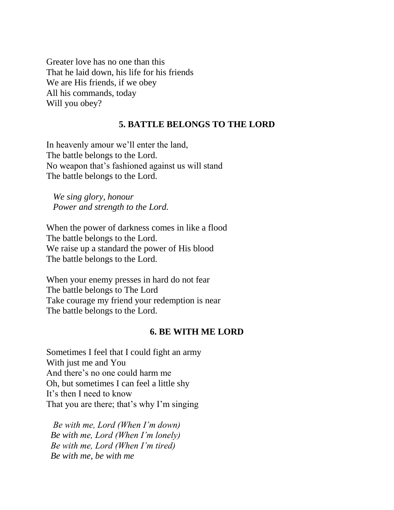Greater love has no one than this That he laid down, his life for his friends We are His friends, if we obey All his commands, today Will you obey?

# **5. BATTLE BELONGS TO THE LORD**

In heavenly amour we'll enter the land, The battle belongs to the Lord. No weapon that's fashioned against us will stand The battle belongs to the Lord.

 *We sing glory, honour Power and strength to the Lord.*

When the power of darkness comes in like a flood The battle belongs to the Lord. We raise up a standard the power of His blood The battle belongs to the Lord.

When your enemy presses in hard do not fear The battle belongs to The Lord Take courage my friend your redemption is near The battle belongs to the Lord.

## **6. BE WITH ME LORD**

Sometimes I feel that I could fight an army With just me and You And there's no one could harm me Oh, but sometimes I can feel a little shy It's then I need to know That you are there; that's why I'm singing

 *Be with me, Lord (When I'm down) Be with me, Lord (When I'm lonely) Be with me, Lord (When I'm tired) Be with me, be with me*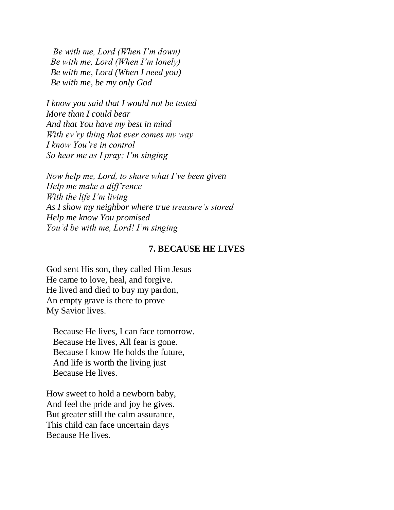*Be with me, Lord (When I'm down) Be with me, Lord (When I'm lonely) Be with me, Lord (When I need you) Be with me, be my only God*

*I know you said that I would not be tested More than I could bear And that You have my best in mind With ev'ry thing that ever comes my way I know You're in control So hear me as I pray; I'm singing*

*Now help me, Lord, to share what I've been given Help me make a diff'rence With the life I'm living As I show my neighbor where true treasure's stored Help me know You promised You'd be with me, Lord! I'm singing*

### **7. BECAUSE HE LIVES**

God sent His son, they called Him Jesus He came to love, heal, and forgive. He lived and died to buy my pardon, An empty grave is there to prove My Savior lives.

 Because He lives, I can face tomorrow. Because He lives, All fear is gone. Because I know He holds the future, And life is worth the living just Because He lives.

How sweet to hold a newborn baby, And feel the pride and joy he gives. But greater still the calm assurance, This child can face uncertain days Because He lives.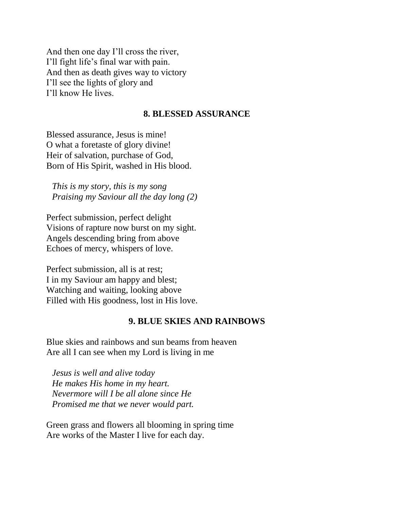And then one day I'll cross the river, I'll fight life's final war with pain. And then as death gives way to victory I'll see the lights of glory and I'll know He lives.

# **8. BLESSED ASSURANCE**

Blessed assurance, Jesus is mine! O what a foretaste of glory divine! Heir of salvation, purchase of God, Born of His Spirit, washed in His blood.

*This is my story, this is my song Praising my Saviour all the day long (2)*

Perfect submission, perfect delight Visions of rapture now burst on my sight. Angels descending bring from above Echoes of mercy, whispers of love.

Perfect submission, all is at rest; I in my Saviour am happy and blest; Watching and waiting, looking above Filled with His goodness, lost in His love.

## **9. BLUE SKIES AND RAINBOWS**

Blue skies and rainbows and sun beams from heaven Are all I can see when my Lord is living in me

*Jesus is well and alive today He makes His home in my heart. Nevermore will I be all alone since He Promised me that we never would part.*

Green grass and flowers all blooming in spring time Are works of the Master I live for each day.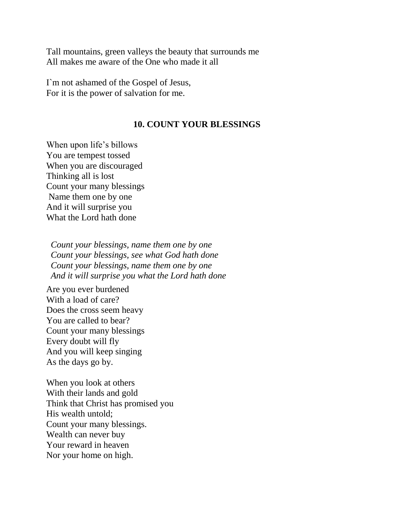Tall mountains, green valleys the beauty that surrounds me All makes me aware of the One who made it all

I`m not ashamed of the Gospel of Jesus, For it is the power of salvation for me.

### **10. COUNT YOUR BLESSINGS**

When upon life's billows You are tempest tossed When you are discouraged Thinking all is lost Count your many blessings Name them one by one And it will surprise you What the Lord hath done

 *Count your blessings, name them one by one Count your blessings, see what God hath done Count your blessings, name them one by one And it will surprise you what the Lord hath done*

Are you ever burdened With a load of care? Does the cross seem heavy You are called to bear? Count your many blessings Every doubt will fly And you will keep singing As the days go by.

When you look at others With their lands and gold Think that Christ has promised you His wealth untold; Count your many blessings. Wealth can never buy Your reward in heaven Nor your home on high.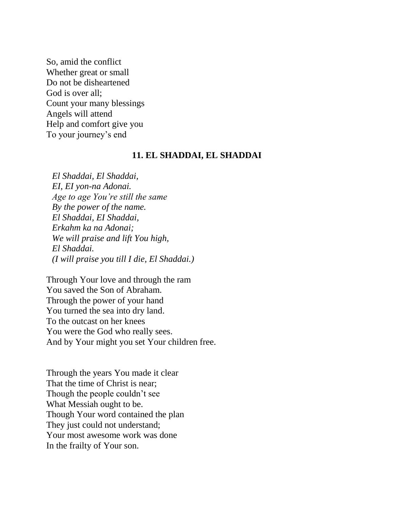So, amid the conflict Whether great or small Do not be disheartened God is over all; Count your many blessings Angels will attend Help and comfort give you To your journey's end

#### **11. EL SHADDAI, EL SHADDAI**

*El Shaddai, El Shaddai, EI, EI yon-na Adonai. Age to age You're still the same By the power of the name. El Shaddai, EI Shaddai, Erkahm ka na Adonai; We will praise and lift You high, El Shaddai. (I will praise you till I die, El Shaddai.)*

Through Your love and through the ram You saved the Son of Abraham. Through the power of your hand You turned the sea into dry land. To the outcast on her knees You were the God who really sees. And by Your might you set Your children free.

Through the years You made it clear That the time of Christ is near; Though the people couldn't see What Messiah ought to be. Though Your word contained the plan They just could not understand; Your most awesome work was done In the frailty of Your son.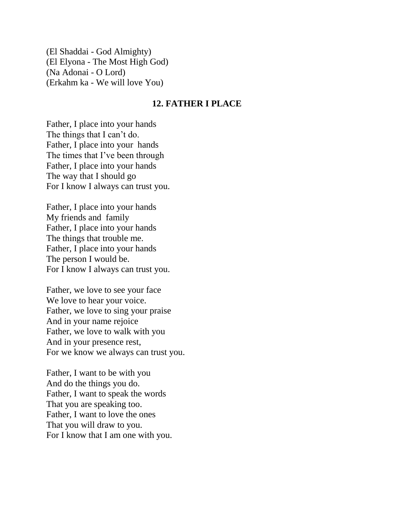(El Shaddai - God Almighty) (El Elyona - The Most High God) (Na Adonai - O Lord) (Erkahm ka - We will love You)

## **12. FATHER I PLACE**

Father, I place into your hands The things that I can't do. Father, I place into your hands The times that I've been through Father, I place into your hands The way that I should go For I know I always can trust you.

Father, I place into your hands My friends and family Father, I place into your hands The things that trouble me. Father, I place into your hands The person I would be. For I know I always can trust you.

Father, we love to see your face We love to hear your voice. Father, we love to sing your praise And in your name rejoice Father, we love to walk with you And in your presence rest, For we know we always can trust you.

Father, I want to be with you And do the things you do. Father, I want to speak the words That you are speaking too. Father, I want to love the ones That you will draw to you. For I know that I am one with you.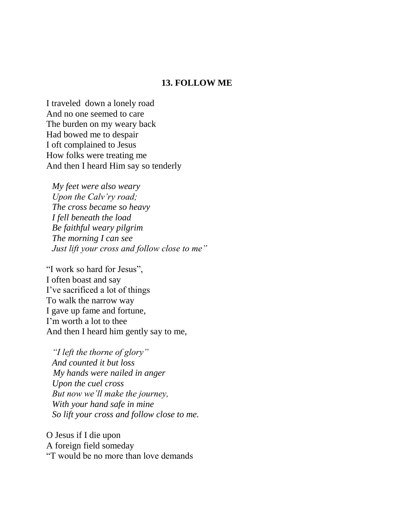### **13. FOLLOW ME**

I traveled down a lonely road And no one seemed to care The burden on my weary back Had bowed me to despair I oft complained to Jesus How folks were treating me And then I heard Him say so tenderly

*My feet were also weary Upon the Calv'ry road; The cross became so heavy I fell beneath the load Be faithful weary pilgrim The morning I can see Just lift your cross and follow close to me"*

"I work so hard for Jesus", I often boast and say I've sacrificed a lot of things To walk the narrow way I gave up fame and fortune, I'm worth a lot to thee And then I heard him gently say to me,

*"I left the thorne of glory" And counted it but loss My hands were nailed in anger Upon the cuel cross But now we'll make the journey, With your hand safe in mine So lift your cross and follow close to me.*

O Jesus if I die upon A foreign field someday "T would be no more than love demands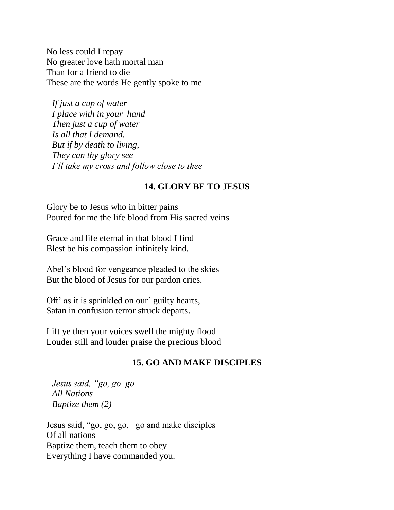No less could I repay No greater love hath mortal man Than for a friend to die These are the words He gently spoke to me

*If just a cup of water I place with in your hand Then just a cup of water Is all that I demand. But if by death to living, They can thy glory see I'll take my cross and follow close to thee*

## **14. GLORY BE TO JESUS**

Glory be to Jesus who in bitter pains Poured for me the life blood from His sacred veins

Grace and life eternal in that blood I find Blest be his compassion infinitely kind.

Abel's blood for vengeance pleaded to the skies But the blood of Jesus for our pardon cries.

Oft' as it is sprinkled on our` guilty hearts, Satan in confusion terror struck departs.

Lift ye then your voices swell the mighty flood Louder still and louder praise the precious blood

## **15. GO AND MAKE DISCIPLES**

*Jesus said, "go, go ,go All Nations Baptize them (2)*

Jesus said, "go, go, go, go and make disciples Of all nations Baptize them, teach them to obey Everything I have commanded you.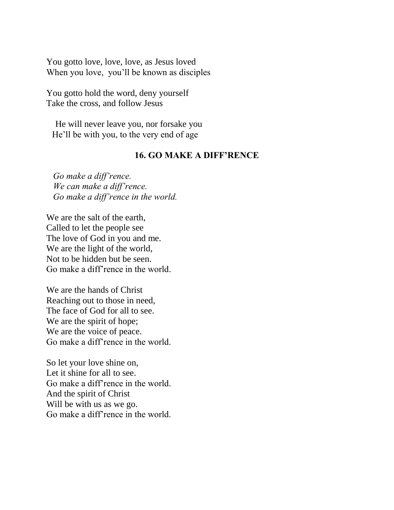You gotto love, love, love, as Jesus loved When you love, you'll be known as disciples

You gotto hold the word, deny yourself Take the cross, and follow Jesus

 He will never leave you, nor forsake you He'll be with you, to the very end of age

## **16. GO MAKE A DIFF'RENCE**

 *Go make a diff'rence. We can make a diff'rence. Go make a diff'rence in the world.*

We are the salt of the earth, Called to let the people see The love of God in you and me. We are the light of the world, Not to be hidden but be seen. Go make a diff'rence in the world.

We are the hands of Christ Reaching out to those in need, The face of God for all to see. We are the spirit of hope; We are the voice of peace. Go make a diff'rence in the world.

So let your love shine on, Let it shine for all to see. Go make a diff'rence in the world. And the spirit of Christ Will be with us as we go. Go make a diff'rence in the world.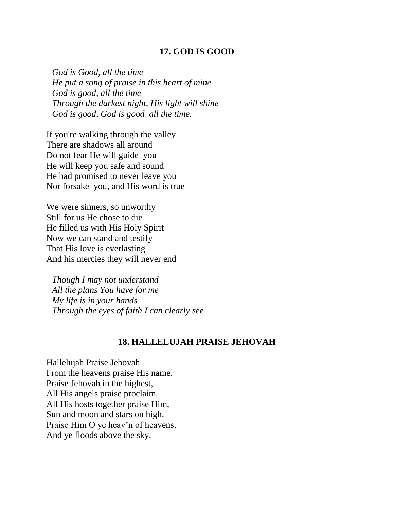### **17. GOD IS GOOD**

*God is Good, all the time He put a song of praise in this heart of mine God is good, all the time Through the darkest night, His light will shine God is good, God is good all the time.*

If you're walking through the valley There are shadows all around Do not fear He will guide you He will keep you safe and sound He had promised to never leave you Nor forsake you, and His word is true

We were sinners, so unworthy Still for us He chose to die He filled us with His Holy Spirit Now we can stand and testify That His love is everlasting And his mercies they will never end

*Though I may not understand All the plans You have for me My life is in your hands Through the eyes of faith I can clearly see*

#### **18. HALLELUJAH PRAISE JEHOVAH**

Hallelujah Praise Jehovah From the heavens praise His name. Praise Jehovah in the highest, All His angels praise proclaim. All His hosts together praise Him, Sun and moon and stars on high. Praise Him O ye heav'n of heavens, And ye floods above the sky.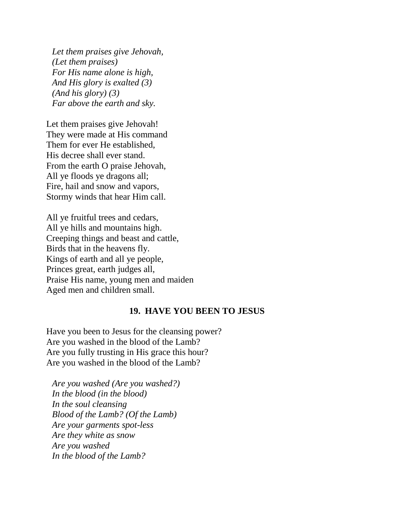*Let them praises give Jehovah, (Let them praises) For His name alone is high, And His glory is exalted (3) (And his glory) (3) Far above the earth and sky.*

Let them praises give Jehovah! They were made at His command Them for ever He established, His decree shall ever stand. From the earth O praise Jehovah, All ye floods ye dragons all; Fire, hail and snow and vapors, Stormy winds that hear Him call.

All ye fruitful trees and cedars, All ye hills and mountains high. Creeping things and beast and cattle, Birds that in the heavens fly. Kings of earth and all ye people, Princes great, earth judges all, Praise His name, young men and maiden Aged men and children small.

### **19. HAVE YOU BEEN TO JESUS**

Have you been to Jesus for the cleansing power? Are you washed in the blood of the Lamb? Are you fully trusting in His grace this hour? Are you washed in the blood of the Lamb?

*Are you washed (Are you washed?) In the blood (in the blood) In the soul cleansing Blood of the Lamb? (Of the Lamb) Are your garments spot-less Are they white as snow Are you washed In the blood of the Lamb?*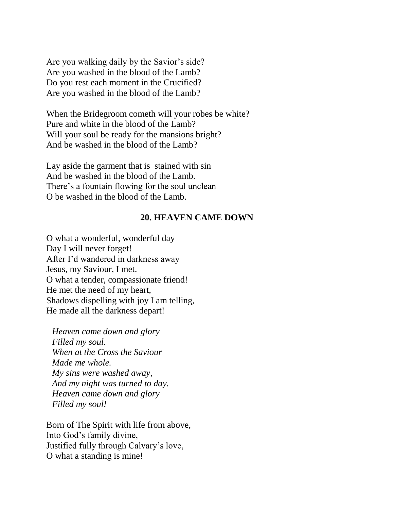Are you walking daily by the Savior's side? Are you washed in the blood of the Lamb? Do you rest each moment in the Crucified? Are you washed in the blood of the Lamb?

When the Bridegroom cometh will your robes be white? Pure and white in the blood of the Lamb? Will your soul be ready for the mansions bright? And be washed in the blood of the Lamb?

Lay aside the garment that is stained with sin And be washed in the blood of the Lamb. There's a fountain flowing for the soul unclean O be washed in the blood of the Lamb.

# **20. HEAVEN CAME DOWN**

O what a wonderful, wonderful day Day I will never forget! After I'd wandered in darkness away Jesus, my Saviour, I met. O what a tender, compassionate friend! He met the need of my heart, Shadows dispelling with joy I am telling, He made all the darkness depart!

*Heaven came down and glory Filled my soul. When at the Cross the Saviour Made me whole. My sins were washed away, And my night was turned to day. Heaven came down and glory Filled my soul!* 

Born of The Spirit with life from above, Into God's family divine, Justified fully through Calvary's love, O what a standing is mine!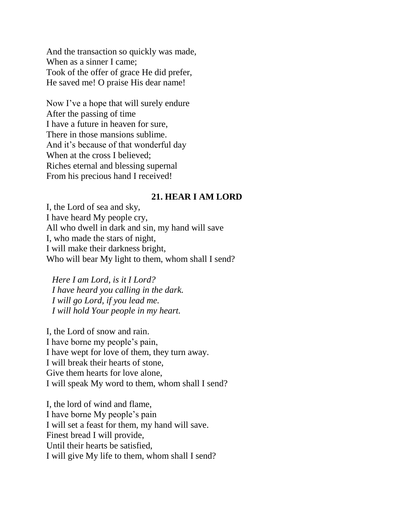And the transaction so quickly was made, When as a sinner I came; Took of the offer of grace He did prefer, He saved me! O praise His dear name!

Now I've a hope that will surely endure After the passing of time I have a future in heaven for sure, There in those mansions sublime. And it's because of that wonderful day When at the cross I believed; Riches eternal and blessing supernal From his precious hand I received!

### **21. HEAR I AM LORD**

I, the Lord of sea and sky, I have heard My people cry, All who dwell in dark and sin, my hand will save I, who made the stars of night, I will make their darkness bright, Who will bear My light to them, whom shall I send?

*Here I am Lord, is it I Lord? I have heard you calling in the dark. I will go Lord, if you lead me. I will hold Your people in my heart.*

I, the Lord of snow and rain. I have borne my people's pain, I have wept for love of them, they turn away. I will break their hearts of stone, Give them hearts for love alone, I will speak My word to them, whom shall I send?

I, the lord of wind and flame, I have borne My people's pain I will set a feast for them, my hand will save. Finest bread I will provide, Until their hearts be satisfied, I will give My life to them, whom shall I send?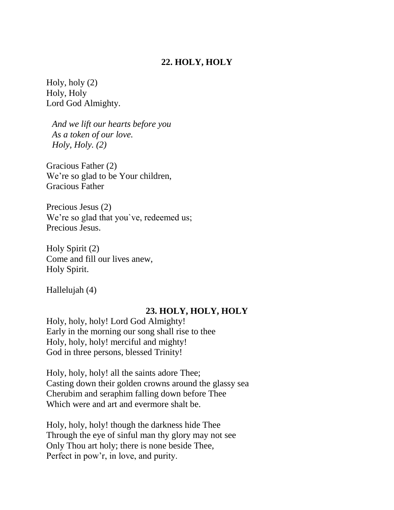# **22. HOLY, HOLY**

Holy, holy (2) Holy, Holy Lord God Almighty.

*And we lift our hearts before you As a token of our love. Holy, Holy. (2)*

Gracious Father (2) We're so glad to be Your children, Gracious Father

Precious Jesus (2) We're so glad that you've, redeemed us; Precious Jesus.

Holy Spirit (2) Come and fill our lives anew, Holy Spirit.

Hallelujah (4)

### **23. HOLY, HOLY, HOLY**

Holy, holy, holy! Lord God Almighty! Early in the morning our song shall rise to thee Holy, holy, holy! merciful and mighty! God in three persons, blessed Trinity!

Holy, holy, holy! all the saints adore Thee; Casting down their golden crowns around the glassy sea Cherubim and seraphim falling down before Thee Which were and art and evermore shalt be.

Holy, holy, holy! though the darkness hide Thee Through the eye of sinful man thy glory may not see Only Thou art holy; there is none beside Thee, Perfect in pow'r, in love, and purity.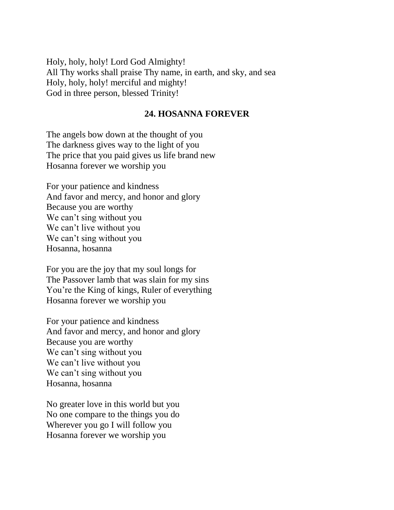Holy, holy, holy! Lord God Almighty! All Thy works shall praise Thy name, in earth, and sky, and sea Holy, holy, holy! merciful and mighty! God in three person, blessed Trinity!

# **24. HOSANNA FOREVER**

The angels bow down at the thought of you The darkness gives way to the light of you The price that you paid gives us life brand new Hosanna forever we worship you

For your patience and kindness And favor and mercy, and honor and glory Because you are worthy We can't sing without you We can't live without you We can't sing without you Hosanna, hosanna

For you are the joy that my soul longs for The Passover lamb that was slain for my sins You're the King of kings, Ruler of everything Hosanna forever we worship you

For your patience and kindness And favor and mercy, and honor and glory Because you are worthy We can't sing without you We can't live without you We can't sing without you Hosanna, hosanna

No greater love in this world but you No one compare to the things you do Wherever you go I will follow you Hosanna forever we worship you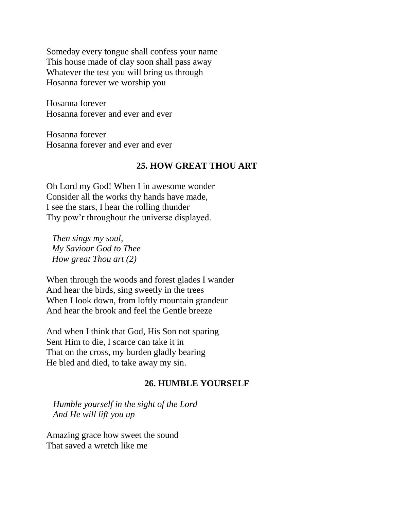Someday every tongue shall confess your name This house made of clay soon shall pass away Whatever the test you will bring us through Hosanna forever we worship you

Hosanna forever Hosanna forever and ever and ever

Hosanna forever Hosanna forever and ever and ever

# **25. HOW GREAT THOU ART**

Oh Lord my God! When I in awesome wonder Consider all the works thy hands have made, I see the stars, I hear the rolling thunder Thy pow'r throughout the universe displayed.

*Then sings my soul, My Saviour God to Thee How great Thou art (2)*

When through the woods and forest glades I wander And hear the birds, sing sweetly in the trees When I look down, from loftly mountain grandeur And hear the brook and feel the Gentle breeze

And when I think that God, His Son not sparing Sent Him to die, I scarce can take it in That on the cross, my burden gladly bearing He bled and died, to take away my sin.

# **26. HUMBLE YOURSELF**

 *Humble yourself in the sight of the Lord And He will lift you up*

Amazing grace how sweet the sound That saved a wretch like me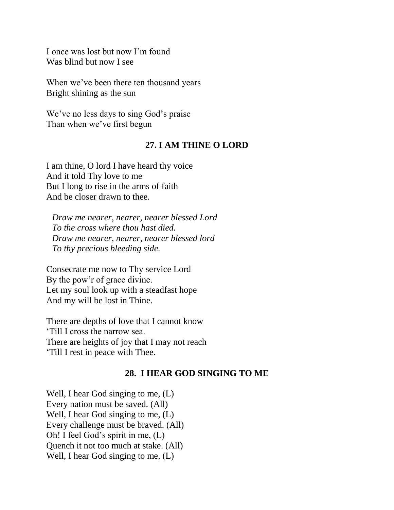I once was lost but now I'm found Was blind but now I see

When we've been there ten thousand years Bright shining as the sun

We've no less days to sing God's praise Than when we've first begun

# **27. I AM THINE O LORD**

I am thine, O lord I have heard thy voice And it told Thy love to me But I long to rise in the arms of faith And be closer drawn to thee.

*Draw me nearer, nearer, nearer blessed Lord To the cross where thou hast died. Draw me nearer, nearer, nearer blessed lord To thy precious bleeding side.*

Consecrate me now to Thy service Lord By the pow'r of grace divine. Let my soul look up with a steadfast hope And my will be lost in Thine.

There are depths of love that I cannot know 'Till I cross the narrow sea. There are heights of joy that I may not reach 'Till I rest in peace with Thee.

# **28. I HEAR GOD SINGING TO ME**

Well, I hear God singing to me, (L) Every nation must be saved. (All) Well, I hear God singing to me, (L) Every challenge must be braved. (All) Oh! I feel God's spirit in me, (L) Quench it not too much at stake. (All) Well, I hear God singing to me, (L)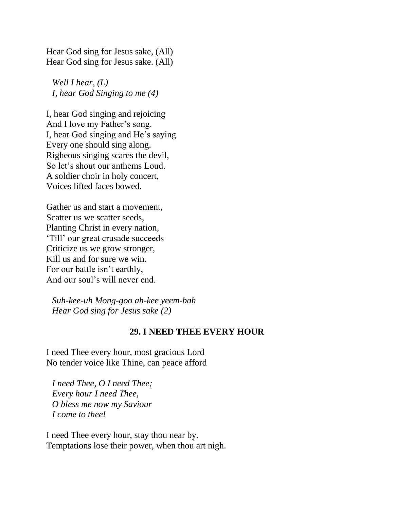Hear God sing for Jesus sake, (All) Hear God sing for Jesus sake. (All)

*Well I hear, (L) I, hear God Singing to me (4)*

I, hear God singing and rejoicing And I love my Father's song. I, hear God singing and He's saying Every one should sing along. Righeous singing scares the devil, So let's shout our anthems Loud. A soldier choir in holy concert, Voices lifted faces bowed.

Gather us and start a movement, Scatter us we scatter seeds, Planting Christ in every nation, 'Till' our great crusade succeeds Criticize us we grow stronger, Kill us and for sure we win. For our battle isn't earthly, And our soul's will never end.

*Suh-kee-uh Mong-goo ah-kee yeem-bah Hear God sing for Jesus sake (2)*

### **29. I NEED THEE EVERY HOUR**

I need Thee every hour, most gracious Lord No tender voice like Thine, can peace afford

*I need Thee, O I need Thee; Every hour I need Thee, O bless me now my Saviour I come to thee!*

I need Thee every hour, stay thou near by. Temptations lose their power, when thou art nigh.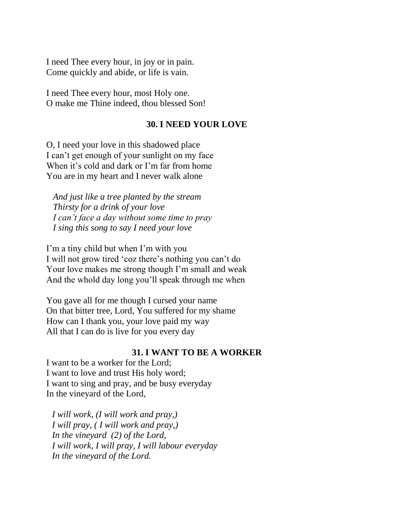I need Thee every hour, in joy or in pain. Come quickly and abide, or life is vain.

I need Thee every hour, most Holy one. O make me Thine indeed, thou blessed Son!

# **30. I NEED YOUR LOVE**

O, I need your love in this shadowed place I can't get enough of your sunlight on my face When it's cold and dark or I'm far from home You are in my heart and I never walk alone

 *And just like a tree planted by the stream Thirsty for a drink of your love I can't face a day without some time to pray I sing this song to say I need your love*

I'm a tiny child but when I'm with you I will not grow tired 'coz there's nothing you can't do Your love makes me strong though I'm small and weak And the whold day long you'll speak through me when

You gave all for me though I cursed your name On that bitter tree, Lord, You suffered for my shame How can I thank you, your love paid my way All that I can do is live for you every day

# **31. I WANT TO BE A WORKER**

I want to be a worker for the Lord; I want to love and trust His holy word; I want to sing and pray, and be busy everyday In the vineyard of the Lord,

*I will work, (I will work and pray,) I will pray, ( I will work and pray,) In the vineyard (2) of the Lord, I will work, I will pray, I will labour everyday In the vineyard of the Lord.*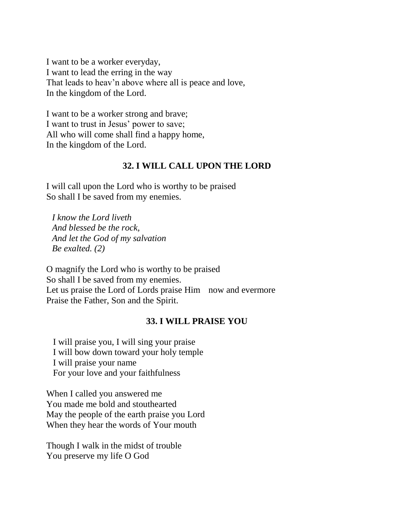I want to be a worker everyday, I want to lead the erring in the way That leads to heav'n above where all is peace and love, In the kingdom of the Lord.

I want to be a worker strong and brave; I want to trust in Jesus' power to save; All who will come shall find a happy home, In the kingdom of the Lord.

# **32. I WILL CALL UPON THE LORD**

I will call upon the Lord who is worthy to be praised So shall I be saved from my enemies.

*I know the Lord liveth And blessed be the rock, And let the God of my salvation Be exalted. (2)*

O magnify the Lord who is worthy to be praised So shall I be saved from my enemies. Let us praise the Lord of Lords praise Him now and evermore Praise the Father, Son and the Spirit.

# **33. I WILL PRAISE YOU**

 I will praise you, I will sing your praise I will bow down toward your holy temple I will praise your name For your love and your faithfulness

When I called you answered me You made me bold and stouthearted May the people of the earth praise you Lord When they hear the words of Your mouth

Though I walk in the midst of trouble You preserve my life O God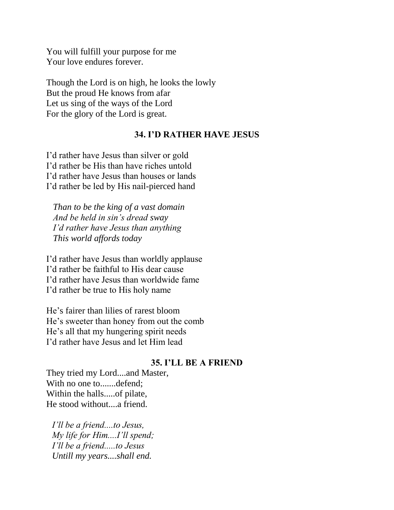You will fulfill your purpose for me Your love endures forever.

Though the Lord is on high, he looks the lowly But the proud He knows from afar Let us sing of the ways of the Lord For the glory of the Lord is great.

## **34. I'D RATHER HAVE JESUS**

I'd rather have Jesus than silver or gold I'd rather be His than have riches untold I'd rather have Jesus than houses or lands I'd rather be led by His nail-pierced hand

 *Than to be the king of a vast domain And be held in sin's dread sway I'd rather have Jesus than anything This world affords today*

I'd rather have Jesus than worldly applause I'd rather be faithful to His dear cause I'd rather have Jesus than worldwide fame I'd rather be true to His holy name

He's fairer than lilies of rarest bloom He's sweeter than honey from out the comb He's all that my hungering spirit needs I'd rather have Jesus and let Him lead

### **35. I'LL BE A FRIEND**

They tried my Lord....and Master, With no one to.......defend: Within the halls.....of pilate, He stood without....a friend.

*I'll be a friend....to Jesus, My life for Him....I'll spend; I'll be a friend.....to Jesus Untill my years....shall end.*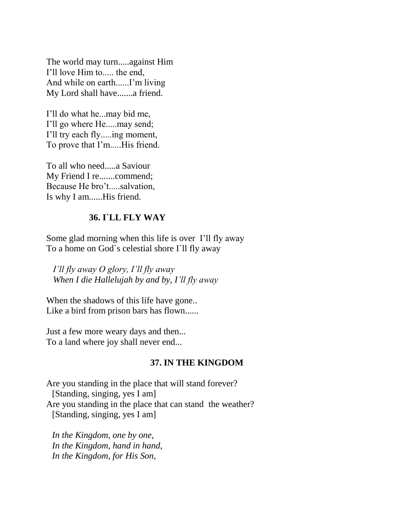The world may turn.....against Him I'll love Him to..... the end, And while on earth......I'm living My Lord shall have.......a friend.

I'll do what he...may bid me, I'll go where He.....may send; I'll try each fly.....ing moment, To prove that I'm.....His friend.

To all who need.....a Saviour My Friend I re.......commend; Because He bro't.....salvation, Is why I am......His friend.

# **36. I`LL FLY WAY**

Some glad morning when this life is over I'll fly away To a home on God's celestial shore I'll fly away

 *I'll fly away O glory, I'll fly away When I die Hallelujah by and by, I'll fly away*

When the shadows of this life have gone... Like a bird from prison bars has flown......

Just a few more weary days and then... To a land where joy shall never end...

## **37. IN THE KINGDOM**

Are you standing in the place that will stand forever? [Standing, singing, yes I am] Are you standing in the place that can stand the weather? [Standing, singing, yes I am]

*In the Kingdom, one by one, In the Kingdom, hand in hand, In the Kingdom, for His Son,*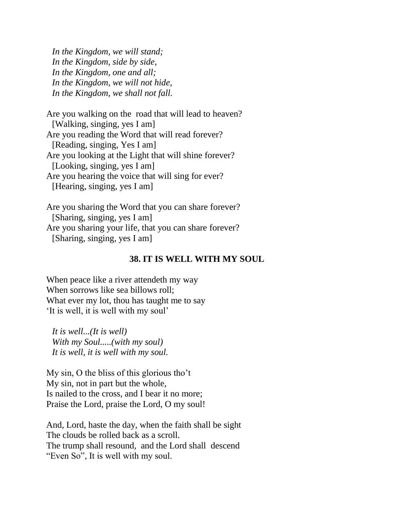*In the Kingdom, we will stand; In the Kingdom, side by side, In the Kingdom, one and all; In the Kingdom, we will not hide, In the Kingdom, we shall not fall.*

Are you walking on the road that will lead to heaven? [Walking, singing, yes I am] Are you reading the Word that will read forever? [Reading, singing, Yes I am] Are you looking at the Light that will shine forever? [Looking, singing, yes I am] Are you hearing the voice that will sing for ever? [Hearing, singing, yes I am]

Are you sharing the Word that you can share forever? [Sharing, singing, yes I am] Are you sharing your life, that you can share forever? [Sharing, singing, yes I am]

### **38. IT IS WELL WITH MY SOUL**

When peace like a river attendeth my way When sorrows like sea billows roll; What ever my lot, thou has taught me to say 'It is well, it is well with my soul'

*It is well...(It is well) With my Soul.....(with my soul) It is well, it is well with my soul.*

My sin, O the bliss of this glorious tho't My sin, not in part but the whole, Is nailed to the cross, and I bear it no more; Praise the Lord, praise the Lord, O my soul!

And, Lord, haste the day, when the faith shall be sight The clouds be rolled back as a scroll. The trump shall resound, and the Lord shall descend "Even So", It is well with my soul.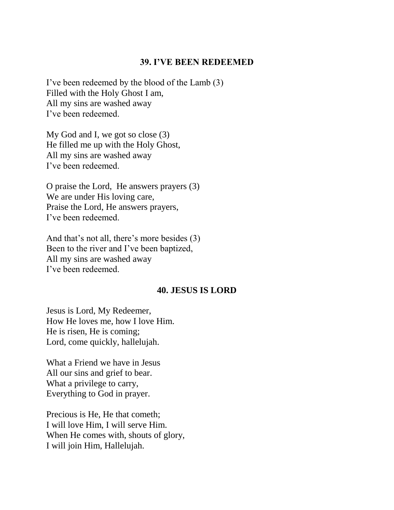### **39. I'VE BEEN REDEEMED**

I've been redeemed by the blood of the Lamb (3) Filled with the Holy Ghost I am, All my sins are washed away I've been redeemed.

My God and I, we got so close (3) He filled me up with the Holy Ghost, All my sins are washed away I've been redeemed.

O praise the Lord, He answers prayers (3) We are under His loving care, Praise the Lord, He answers prayers, I've been redeemed.

And that's not all, there's more besides (3) Been to the river and I've been baptized, All my sins are washed away I've been redeemed.

### **40. JESUS IS LORD**

Jesus is Lord, My Redeemer, How He loves me, how I love Him. He is risen, He is coming; Lord, come quickly, hallelujah.

What a Friend we have in Jesus All our sins and grief to bear. What a privilege to carry, Everything to God in prayer.

Precious is He, He that cometh; I will love Him, I will serve Him. When He comes with, shouts of glory, I will join Him, Hallelujah.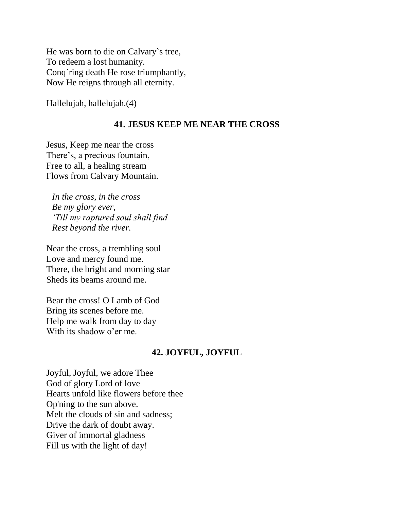He was born to die on Calvary`s tree, To redeem a lost humanity. Conq`ring death He rose triumphantly, Now He reigns through all eternity.

Hallelujah, hallelujah.(4)

# **41. JESUS KEEP ME NEAR THE CROSS**

Jesus, Keep me near the cross There's, a precious fountain, Free to all, a healing stream Flows from Calvary Mountain.

*In the cross, in the cross Be my glory ever, 'Till my raptured soul shall find Rest beyond the river.*

Near the cross, a trembling soul Love and mercy found me. There, the bright and morning star Sheds its beams around me.

Bear the cross! O Lamb of God Bring its scenes before me. Help me walk from day to day With its shadow o'er me.

# **42. JOYFUL, JOYFUL**

Joyful, Joyful, we adore Thee God of glory Lord of love Hearts unfold like flowers before thee Op'ning to the sun above. Melt the clouds of sin and sadness; Drive the dark of doubt away. Giver of immortal gladness Fill us with the light of day!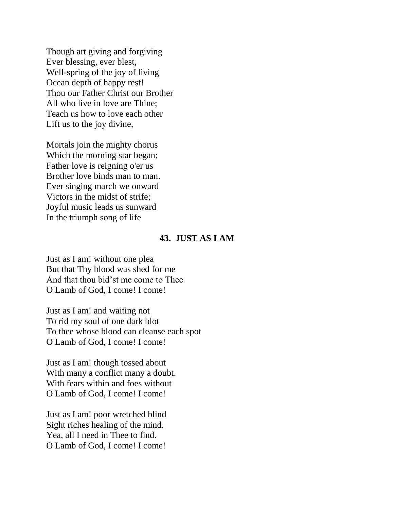Though art giving and forgiving Ever blessing, ever blest, Well-spring of the joy of living Ocean depth of happy rest! Thou our Father Christ our Brother All who live in love are Thine; Teach us how to love each other Lift us to the joy divine,

Mortals join the mighty chorus Which the morning star began; Father love is reigning o'er us Brother love binds man to man. Ever singing march we onward Victors in the midst of strife; Joyful music leads us sunward In the triumph song of life

# **43. JUST AS I AM**

Just as I am! without one plea But that Thy blood was shed for me And that thou bid'st me come to Thee O Lamb of God, I come! I come!

Just as I am! and waiting not To rid my soul of one dark blot To thee whose blood can cleanse each spot O Lamb of God, I come! I come!

Just as I am! though tossed about With many a conflict many a doubt. With fears within and foes without O Lamb of God, I come! I come!

Just as I am! poor wretched blind Sight riches healing of the mind. Yea, all I need in Thee to find. O Lamb of God, I come! I come!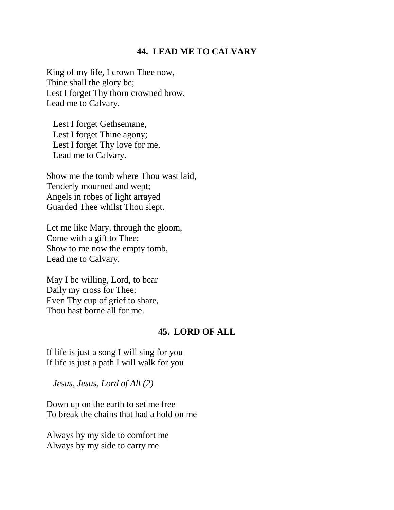# **44. LEAD ME TO CALVARY**

King of my life, I crown Thee now, Thine shall the glory be; Lest I forget Thy thorn crowned brow, Lead me to Calvary.

 Lest I forget Gethsemane, Lest I forget Thine agony; Lest I forget Thy love for me, Lead me to Calvary.

Show me the tomb where Thou wast laid, Tenderly mourned and wept; Angels in robes of light arrayed Guarded Thee whilst Thou slept.

Let me like Mary, through the gloom, Come with a gift to Thee; Show to me now the empty tomb, Lead me to Calvary.

May I be willing, Lord, to bear Daily my cross for Thee; Even Thy cup of grief to share, Thou hast borne all for me.

### **45. LORD OF ALL**

If life is just a song I will sing for you If life is just a path I will walk for you

 *Jesus, Jesus, Lord of All (2)* 

Down up on the earth to set me free To break the chains that had a hold on me

Always by my side to comfort me Always by my side to carry me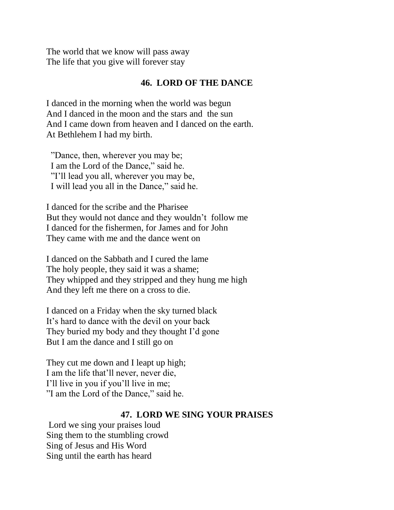The world that we know will pass away The life that you give will forever stay

# **46. LORD OF THE DANCE**

I danced in the morning when the world was begun And I danced in the moon and the stars and the sun And I came down from heaven and I danced on the earth. At Bethlehem I had my birth.

 "Dance, then, wherever you may be; I am the Lord of the Dance," said he. "I'll lead you all, wherever you may be, I will lead you all in the Dance," said he.

I danced for the scribe and the Pharisee But they would not dance and they wouldn't follow me I danced for the fishermen, for James and for John They came with me and the dance went on

I danced on the Sabbath and I cured the lame The holy people, they said it was a shame; They whipped and they stripped and they hung me high And they left me there on a cross to die.

I danced on a Friday when the sky turned black It's hard to dance with the devil on your back They buried my body and they thought I'd gone But I am the dance and I still go on

They cut me down and I leapt up high; I am the life that'll never, never die, I'll live in you if you'll live in me; "I am the Lord of the Dance," said he.

# **47. LORD WE SING YOUR PRAISES**

Lord we sing your praises loud Sing them to the stumbling crowd Sing of Jesus and His Word Sing until the earth has heard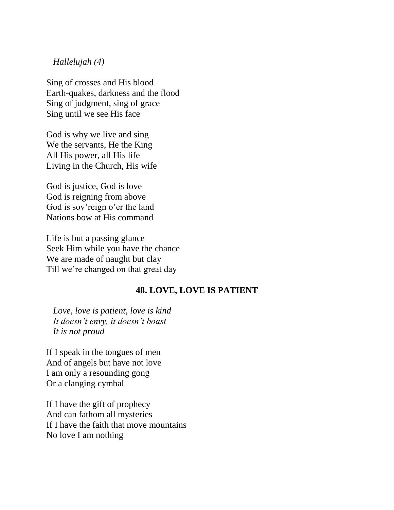### *Hallelujah (4)*

Sing of crosses and His blood Earth-quakes, darkness and the flood Sing of judgment, sing of grace Sing until we see His face

God is why we live and sing We the servants, He the King All His power, all His life Living in the Church, His wife

God is justice, God is love God is reigning from above God is sov'reign o'er the land Nations bow at His command

Life is but a passing glance Seek Him while you have the chance We are made of naught but clay Till we're changed on that great day

### **48. LOVE, LOVE IS PATIENT**

 *Love, love is patient, love is kind It doesn't envy, it doesn't boast It is not proud*

If I speak in the tongues of men And of angels but have not love I am only a resounding gong Or a clanging cymbal

If I have the gift of prophecy And can fathom all mysteries If I have the faith that move mountains No love I am nothing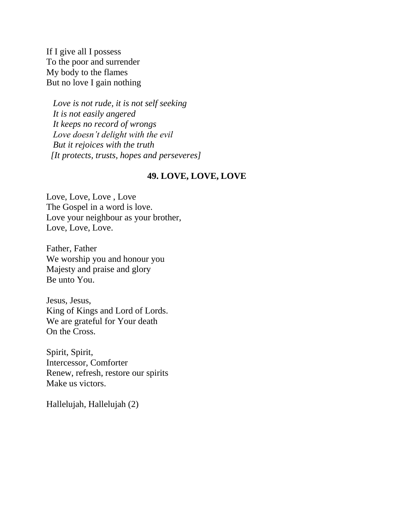If I give all I possess To the poor and surrender My body to the flames But no love I gain nothing

 *Love is not rude, it is not self seeking It is not easily angered It keeps no record of wrongs Love doesn't delight with the evil But it rejoices with the truth [It protects, trusts, hopes and perseveres]*

# **49. LOVE, LOVE, LOVE**

Love, Love, Love , Love The Gospel in a word is love. Love your neighbour as your brother, Love, Love, Love.

Father, Father We worship you and honour you Majesty and praise and glory Be unto You.

Jesus, Jesus, King of Kings and Lord of Lords. We are grateful for Your death On the Cross.

Spirit, Spirit, Intercessor, Comforter Renew, refresh, restore our spirits Make us victors.

Hallelujah, Hallelujah (2)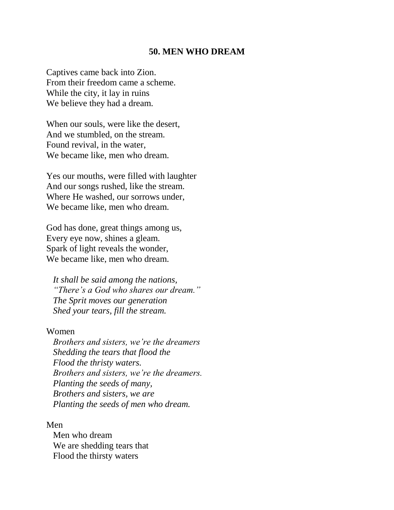### **50. MEN WHO DREAM**

Captives came back into Zion. From their freedom came a scheme. While the city, it lay in ruins We believe they had a dream.

When our souls, were like the desert, And we stumbled, on the stream. Found revival, in the water, We became like, men who dream.

Yes our mouths, were filled with laughter And our songs rushed, like the stream. Where He washed, our sorrows under, We became like, men who dream.

God has done, great things among us, Every eye now, shines a gleam. Spark of light reveals the wonder, We became like, men who dream.

 *It shall be said among the nations, "There's a God who shares our dream." The Sprit moves our generation Shed your tears, fill the stream.*

#### Women

 *Brothers and sisters, we're the dreamers Shedding the tears that flood the Flood the thristy waters. Brothers and sisters, we're the dreamers. Planting the seeds of many, Brothers and sisters, we are Planting the seeds of men who dream.*

#### Men

 Men who dream We are shedding tears that Flood the thirsty waters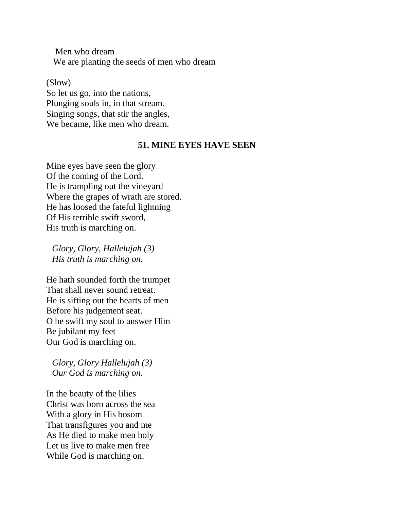Men who dream We are planting the seeds of men who dream

(Slow) So let us go, into the nations, Plunging souls in, in that stream. Singing songs, that stir the angles, We became, like men who dream.

## **51. MINE EYES HAVE SEEN**

Mine eyes have seen the glory Of the coming of the Lord. He is trampling out the vineyard Where the grapes of wrath are stored. He has loosed the fateful lightning Of His terrible swift sword, His truth is marching on.

*Glory, Glory, Hallelujah (3) His truth is marching on.*

He hath sounded forth the trumpet That shall never sound retreat. He is sifting out the hearts of men Before his judgement seat. O be swift my soul to answer Him Be jubilant my feet Our God is marching on.

*Glory, Glory Hallelujah (3) Our God is marching on.*

In the beauty of the lilies Christ was born across the sea With a glory in His bosom That transfigures you and me As He died to make men holy Let us live to make men free While God is marching on.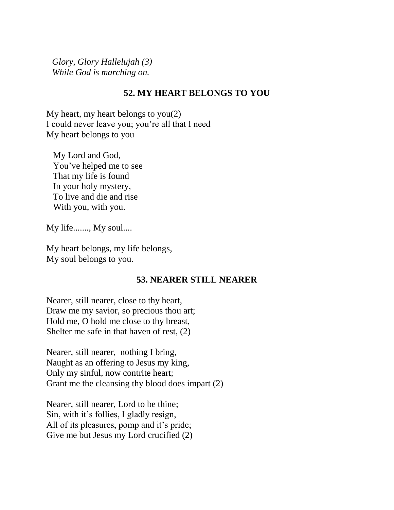*Glory, Glory Hallelujah (3) While God is marching on.*

# **52. MY HEART BELONGS TO YOU**

My heart, my heart belongs to you(2) I could never leave you; you're all that I need My heart belongs to you

 My Lord and God, You've helped me to see That my life is found In your holy mystery, To live and die and rise With you, with you.

My life......., My soul....

My heart belongs, my life belongs, My soul belongs to you.

# **53. NEARER STILL NEARER**

Nearer, still nearer, close to thy heart, Draw me my savior, so precious thou art; Hold me, O hold me close to thy breast, Shelter me safe in that haven of rest, (2)

Nearer, still nearer, nothing I bring, Naught as an offering to Jesus my king, Only my sinful, now contrite heart; Grant me the cleansing thy blood does impart (2)

Nearer, still nearer, Lord to be thine; Sin, with it's follies, I gladly resign, All of its pleasures, pomp and it's pride; Give me but Jesus my Lord crucified (2)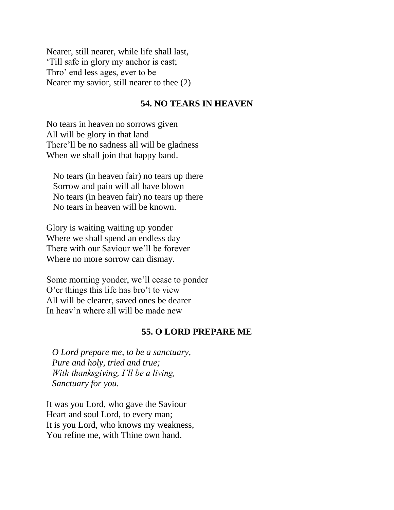Nearer, still nearer, while life shall last, 'Till safe in glory my anchor is cast; Thro' end less ages, ever to be Nearer my savior, still nearer to thee (2)

# **54. NO TEARS IN HEAVEN**

No tears in heaven no sorrows given All will be glory in that land There'll be no sadness all will be gladness When we shall join that happy band.

 No tears (in heaven fair) no tears up there Sorrow and pain will all have blown No tears (in heaven fair) no tears up there No tears in heaven will be known.

Glory is waiting waiting up yonder Where we shall spend an endless day There with our Saviour we'll be forever Where no more sorrow can dismay.

Some morning yonder, we'll cease to ponder O'er things this life has bro't to view All will be clearer, saved ones be dearer In heav'n where all will be made new

### **55. O LORD PREPARE ME**

*O Lord prepare me, to be a sanctuary, Pure and holy, tried and true; With thanksgiving, I'll be a living, Sanctuary for you.*

It was you Lord, who gave the Saviour Heart and soul Lord, to every man; It is you Lord, who knows my weakness, You refine me, with Thine own hand.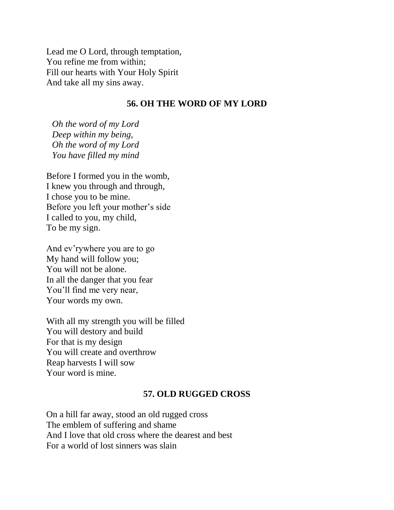Lead me O Lord, through temptation, You refine me from within; Fill our hearts with Your Holy Spirit And take all my sins away.

# **56. OH THE WORD OF MY LORD**

*Oh the word of my Lord Deep within my being, Oh the word of my Lord You have filled my mind*

Before I formed you in the womb, I knew you through and through, I chose you to be mine. Before you left your mother's side I called to you, my child, To be my sign.

And ev'rywhere you are to go My hand will follow you; You will not be alone. In all the danger that you fear You'll find me very near, Your words my own.

With all my strength you will be filled You will destory and build For that is my design You will create and overthrow Reap harvests I will sow Your word is mine.

## **57. OLD RUGGED CROSS**

On a hill far away, stood an old rugged cross The emblem of suffering and shame And I love that old cross where the dearest and best For a world of lost sinners was slain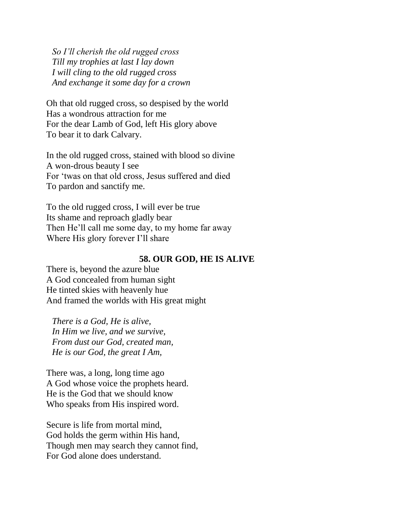*So I'll cherish the old rugged cross Till my trophies at last I lay down I will cling to the old rugged cross And exchange it some day for a crown*

Oh that old rugged cross, so despised by the world Has a wondrous attraction for me For the dear Lamb of God, left His glory above To bear it to dark Calvary.

In the old rugged cross, stained with blood so divine A won-drous beauty I see For 'twas on that old cross, Jesus suffered and died To pardon and sanctify me.

To the old rugged cross, I will ever be true Its shame and reproach gladly bear Then He'll call me some day, to my home far away Where His glory forever I'll share

### **58. OUR GOD, HE IS ALIVE**

There is, beyond the azure blue A God concealed from human sight He tinted skies with heavenly hue And framed the worlds with His great might

*There is a God, He is alive, In Him we live, and we survive, From dust our God, created man, He is our God, the great I Am,* 

There was, a long, long time ago A God whose voice the prophets heard. He is the God that we should know Who speaks from His inspired word.

Secure is life from mortal mind, God holds the germ within His hand, Though men may search they cannot find, For God alone does understand.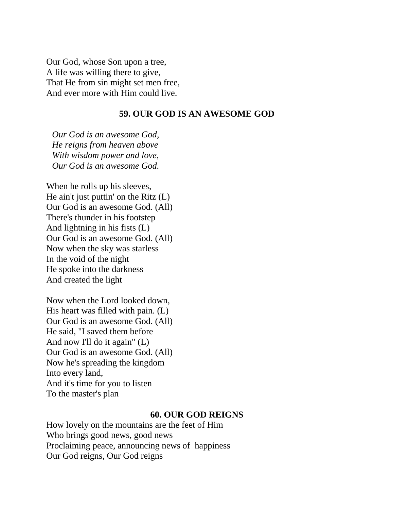Our God, whose Son upon a tree, A life was willing there to give, That He from sin might set men free, And ever more with Him could live.

## **59. OUR GOD IS AN AWESOME GOD**

*Our God is an awesome God, He reigns from heaven above With wisdom power and love, Our God is an awesome God.*

When he rolls up his sleeves, He ain't just puttin' on the Ritz (L) Our God is an awesome God. (All) There's thunder in his footstep And lightning in his fists (L) Our God is an awesome God. (All) Now when the sky was starless In the void of the night He spoke into the darkness And created the light

Now when the Lord looked down, His heart was filled with pain. (L) Our God is an awesome God. (All) He said, "I saved them before And now I'll do it again" (L) Our God is an awesome God. (All) Now he's spreading the kingdom Into every land, And it's time for you to listen To the master's plan

### **60. OUR GOD REIGNS**

How lovely on the mountains are the feet of Him Who brings good news, good news Proclaiming peace, announcing news of happiness Our God reigns, Our God reigns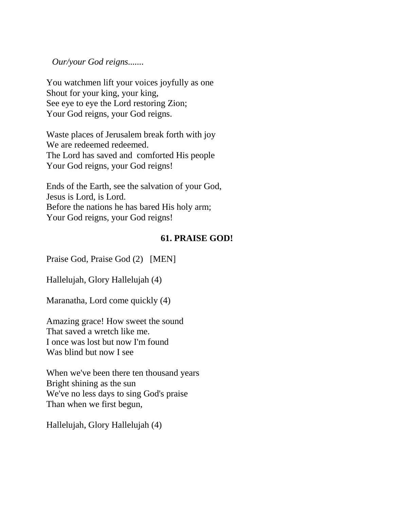*Our/your God reigns.......*

You watchmen lift your voices joyfully as one Shout for your king, your king, See eye to eye the Lord restoring Zion; Your God reigns, your God reigns.

Waste places of Jerusalem break forth with joy We are redeemed redeemed. The Lord has saved and comforted His people Your God reigns, your God reigns!

Ends of the Earth, see the salvation of your God, Jesus is Lord, is Lord. Before the nations he has bared His holy arm; Your God reigns, your God reigns!

# **61. PRAISE GOD!**

Praise God, Praise God (2) [MEN]

Hallelujah, Glory Hallelujah (4)

Maranatha, Lord come quickly (4)

Amazing grace! How sweet the sound That saved a wretch like me. I once was lost but now I'm found Was blind but now I see

When we've been there ten thousand years Bright shining as the sun We've no less days to sing God's praise Than when we first begun,

Hallelujah, Glory Hallelujah (4)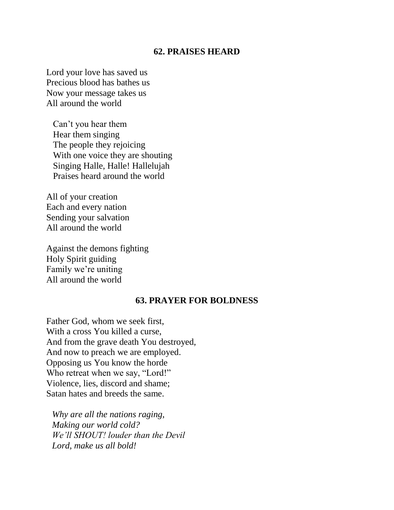### **62. PRAISES HEARD**

Lord your love has saved us Precious blood has bathes us Now your message takes us All around the world

 Can't you hear them Hear them singing The people they rejoicing With one voice they are shouting Singing Halle, Halle! Hallelujah Praises heard around the world

All of your creation Each and every nation Sending your salvation All around the world

Against the demons fighting Holy Spirit guiding Family we're uniting All around the world

### **63. PRAYER FOR BOLDNESS**

Father God, whom we seek first, With a cross You killed a curse, And from the grave death You destroyed, And now to preach we are employed. Opposing us You know the horde Who retreat when we say, "Lord!" Violence, lies, discord and shame; Satan hates and breeds the same.

*Why are all the nations raging, Making our world cold? We'll SHOUT! louder than the Devil Lord, make us all bold!*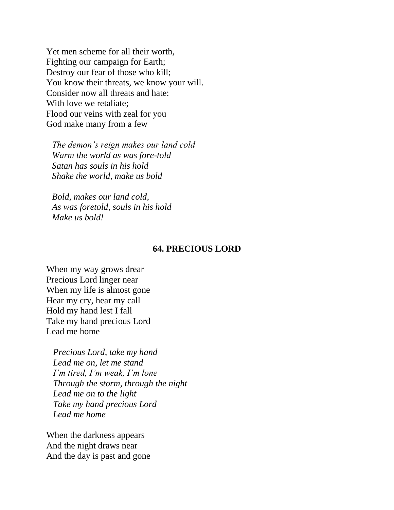Yet men scheme for all their worth, Fighting our campaign for Earth; Destroy our fear of those who kill; You know their threats, we know your will. Consider now all threats and hate: With love we retaliate; Flood our veins with zeal for you God make many from a few

*The demon's reign makes our land cold Warm the world as was fore-told Satan has souls in his hold Shake the world, make us bold*

*Bold, makes our land cold, As was foretold, souls in his hold Make us bold!*

#### **64. PRECIOUS LORD**

When my way grows drear Precious Lord linger near When my life is almost gone Hear my cry, hear my call Hold my hand lest I fall Take my hand precious Lord Lead me home

 *Precious Lord, take my hand Lead me on, let me stand I'm tired, I'm weak, I'm lone Through the storm, through the night Lead me on to the light Take my hand precious Lord Lead me home* 

When the darkness appears And the night draws near And the day is past and gone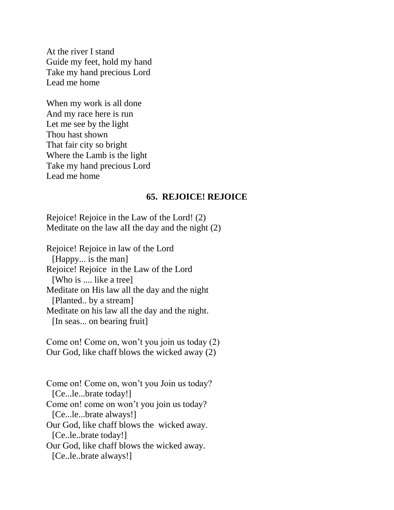At the river I stand Guide my feet, hold my hand Take my hand precious Lord Lead me home

When my work is all done And my race here is run Let me see by the light Thou hast shown That fair city so bright Where the Lamb is the light Take my hand precious Lord Lead me home

## **65. REJOICE! REJOICE**

Rejoice! Rejoice in the Law of the Lord! (2) Meditate on the law aII the day and the night (2)

Rejoice! Rejoice in law of the Lord [Happy... is the man] Rejoice! Rejoice in the Law of the Lord [Who is .... like a tree] Meditate on His law all the day and the night [Planted.. by a stream] Meditate on his law all the day and the night.

[In seas... on bearing fruit]

Come on! Come on, won't you join us today (2) Our God, like chaff blows the wicked away (2)

Come on! Come on, won't you Join us today? [Ce...le...brate today!] Come on! come on won't you join us today? [Ce...le...brate always!] Our God, like chaff blows the wicked away. [Ce..le..brate today!] Our God, like chaff blows the wicked away. [Ce..le..brate always!]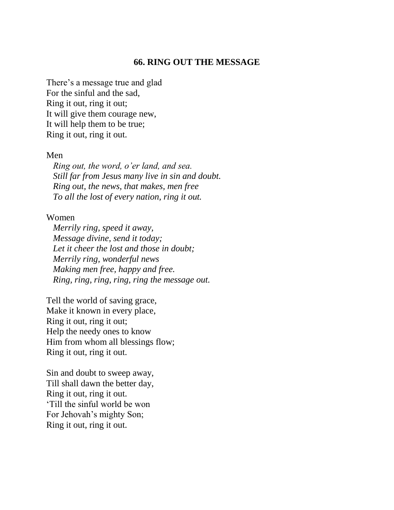### **66. RING OUT THE MESSAGE**

There's a message true and glad For the sinful and the sad, Ring it out, ring it out; It will give them courage new, It will help them to be true; Ring it out, ring it out.

#### Men

 *Ring out, the word, o'er land, and sea. Still far from Jesus many live in sin and doubt. Ring out, the news, that makes, men free To all the lost of every nation, ring it out.*

#### Women

 *Merrily ring, speed it away, Message divine, send it today; Let it cheer the lost and those in doubt; Merrily ring, wonderful news Making men free, happy and free. Ring, ring, ring, ring, ring the message out.*

Tell the world of saving grace, Make it known in every place, Ring it out, ring it out; Help the needy ones to know Him from whom all blessings flow; Ring it out, ring it out.

Sin and doubt to sweep away, Till shall dawn the better day, Ring it out, ring it out. 'Till the sinful world be won For Jehovah's mighty Son; Ring it out, ring it out.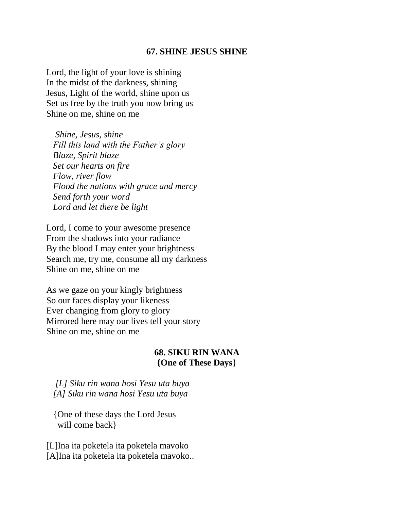#### **67. SHINE JESUS SHINE**

Lord, the light of your love is shining In the midst of the darkness, shining Jesus, Light of the world, shine upon us Set us free by the truth you now bring us Shine on me, shine on me

 *Shine, Jesus, shine Fill this land with the Father's glory Blaze, Spirit blaze Set our hearts on fire Flow, river flow Flood the nations with grace and mercy Send forth your word Lord and let there be light*

Lord, I come to your awesome presence From the shadows into your radiance By the blood I may enter your brightness Search me, try me, consume all my darkness Shine on me, shine on me

As we gaze on your kingly brightness So our faces display your likeness Ever changing from glory to glory Mirrored here may our lives tell your story Shine on me, shine on me

# **68. SIKU RIN WANA {One of These Days**}

 *[L] Siku rin wana hosi Yesu uta buya [A] Siku rin wana hosi Yesu uta buya*

 {One of these days the Lord Jesus will come back }

[L]Ina ita poketela ita poketela mavoko [A]Ina ita poketela ita poketela mavoko..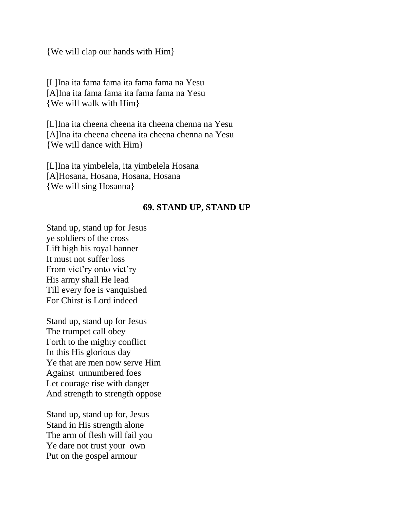{We will clap our hands with Him}

[L]Ina ita fama fama ita fama fama na Yesu [A]Ina ita fama fama ita fama fama na Yesu {We will walk with Him}

[L]Ina ita cheena cheena ita cheena chenna na Yesu [A]Ina ita cheena cheena ita cheena chenna na Yesu {We will dance with Him}

[L]Ina ita yimbelela, ita yimbelela Hosana [A]Hosana, Hosana, Hosana, Hosana {We will sing Hosanna}

## **69. STAND UP, STAND UP**

Stand up, stand up for Jesus ye soldiers of the cross Lift high his royal banner It must not suffer loss From vict'ry onto vict'ry His army shall He lead Till every foe is vanquished For Chirst is Lord indeed

Stand up, stand up for Jesus The trumpet call obey Forth to the mighty conflict In this His glorious day Ye that are men now serve Him Against unnumbered foes Let courage rise with danger And strength to strength oppose

Stand up, stand up for, Jesus Stand in His strength alone The arm of flesh will fail you Ye dare not trust your own Put on the gospel armour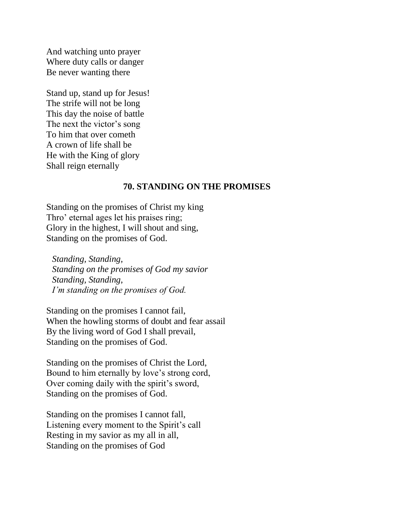And watching unto prayer Where duty calls or danger Be never wanting there

Stand up, stand up for Jesus! The strife will not be long This day the noise of battle The next the victor's song To him that over cometh A crown of life shall be He with the King of glory Shall reign eternally

### **70. STANDING ON THE PROMISES**

Standing on the promises of Christ my king Thro' eternal ages let his praises ring; Glory in the highest, I will shout and sing, Standing on the promises of God.

*Standing, Standing, Standing on the promises of God my savior Standing, Standing, I'm standing on the promises of God.*

Standing on the promises I cannot fail, When the howling storms of doubt and fear assail By the living word of God I shall prevail, Standing on the promises of God.

Standing on the promises of Christ the Lord, Bound to him eternally by love's strong cord, Over coming daily with the spirit's sword, Standing on the promises of God.

Standing on the promises I cannot fall, Listening every moment to the Spirit's call Resting in my savior as my all in all, Standing on the promises of God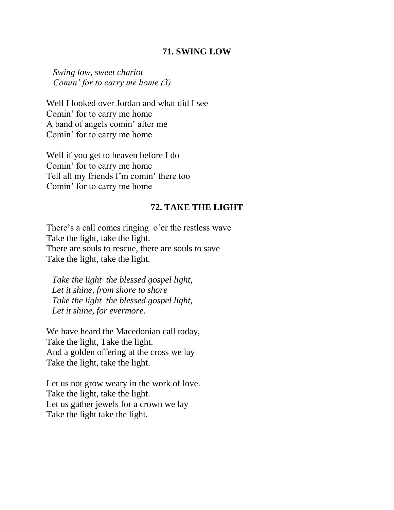### **71. SWING LOW**

 *Swing low, sweet chariot Comin' for to carry me home (3)*

Well I looked over Jordan and what did I see Comin' for to carry me home A band of angels comin' after me Comin' for to carry me home

Well if you get to heaven before I do Comin' for to carry me home Tell all my friends I'm comin' there too Comin' for to carry me home

# **72. TAKE THE LIGHT**

There's a call comes ringing o'er the restless wave Take the light, take the light. There are souls to rescue, there are souls to save Take the light, take the light.

*Take the light the blessed gospel light, Let it shine, from shore to shore Take the light the blessed gospel light, Let it shine, for evermore.*

We have heard the Macedonian call today, Take the light, Take the light. And a golden offering at the cross we lay Take the light, take the light.

Let us not grow weary in the work of love. Take the light, take the light. Let us gather jewels for a crown we lay Take the light take the light.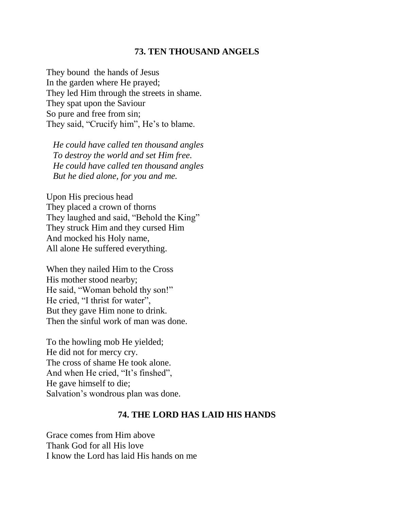## **73. TEN THOUSAND ANGELS**

They bound the hands of Jesus In the garden where He prayed; They led Him through the streets in shame. They spat upon the Saviour So pure and free from sin; They said, "Crucify him", He's to blame.

 *He could have called ten thousand angles To destroy the world and set Him free. He could have called ten thousand angles But he died alone, for you and me.*

Upon His precious head They placed a crown of thorns They laughed and said, "Behold the King" They struck Him and they cursed Him And mocked his Holy name, All alone He suffered everything.

When they nailed Him to the Cross His mother stood nearby; He said, "Woman behold thy son!" He cried, "I thrist for water", But they gave Him none to drink. Then the sinful work of man was done.

To the howling mob He yielded; He did not for mercy cry. The cross of shame He took alone. And when He cried, "It's finshed", He gave himself to die; Salvation's wondrous plan was done.

### **74. THE LORD HAS LAID HIS HANDS**

Grace comes from Him above Thank God for all His love I know the Lord has laid His hands on me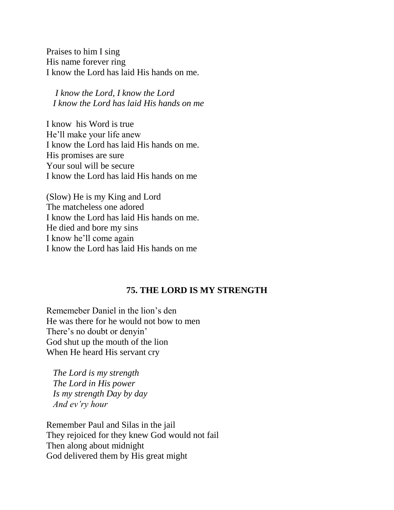Praises to him I sing His name forever ring I know the Lord has laid His hands on me.

 *I know the Lord, I know the Lord I know the Lord has laid His hands on me*

I know his Word is true He'll make your life anew I know the Lord has laid His hands on me. His promises are sure Your soul will be secure I know the Lord has laid His hands on me

(Slow) He is my King and Lord The matcheless one adored I know the Lord has laid His hands on me. He died and bore my sins I know he'll come again I know the Lord has laid His hands on me

### **75. THE LORD IS MY STRENGTH**

Rememeber Daniel in the lion's den He was there for he would not bow to men There's no doubt or denyin' God shut up the mouth of the lion When He heard His servant cry

 *The Lord is my strength The Lord in His power Is my strength Day by day And ev'ry hour*

Remember Paul and Silas in the jail They rejoiced for they knew God would not fail Then along about midnight God delivered them by His great might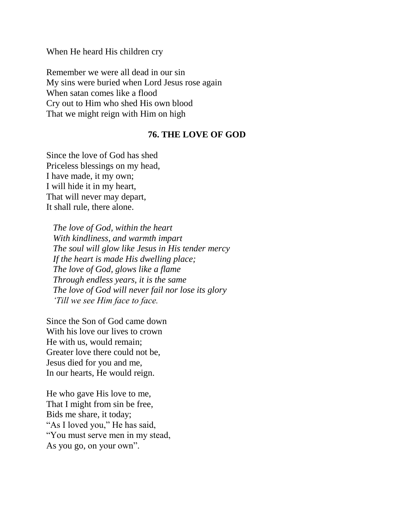When He heard His children cry

Remember we were all dead in our sin My sins were buried when Lord Jesus rose again When satan comes like a flood Cry out to Him who shed His own blood That we might reign with Him on high

## **76. THE LOVE OF GOD**

Since the love of God has shed Priceless blessings on my head, I have made, it my own; I will hide it in my heart, That will never may depart, It shall rule, there alone.

 *The love of God, within the heart With kindliness, and warmth impart The soul will glow like Jesus in His tender mercy If the heart is made His dwelling place; The love of God, glows like a flame Through endless years, it is the same The love of God will never fail nor lose its glory 'Till we see Him face to face.*

Since the Son of God came down With his love our lives to crown He with us, would remain; Greater love there could not be, Jesus died for you and me, In our hearts, He would reign.

He who gave His love to me, That I might from sin be free, Bids me share, it today; "As I loved you," He has said, "You must serve men in my stead, As you go, on your own".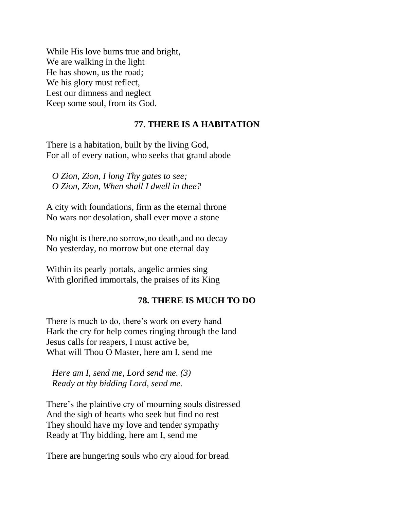While His love burns true and bright, We are walking in the light He has shown, us the road; We his glory must reflect, Lest our dimness and neglect Keep some soul, from its God.

# **77. THERE IS A HABITATION**

There is a habitation, built by the living God, For all of every nation, who seeks that grand abode

*O Zion, Zion, I long Thy gates to see; O Zion, Zion, When shall I dwell in thee?*

A city with foundations, firm as the eternal throne No wars nor desolation, shall ever move a stone

No night is there,no sorrow,no death,and no decay No yesterday, no morrow but one eternal day

Within its pearly portals, angelic armies sing With glorified immortals, the praises of its King

## **78. THERE IS MUCH TO DO**

There is much to do, there's work on every hand Hark the cry for help comes ringing through the land Jesus calls for reapers, I must active be, What will Thou O Master, here am I, send me

*Here am I, send me, Lord send me. (3) Ready at thy bidding Lord, send me.* 

There's the plaintive cry of mourning souls distressed And the sigh of hearts who seek but find no rest They should have my love and tender sympathy Ready at Thy bidding, here am I, send me

There are hungering souls who cry aloud for bread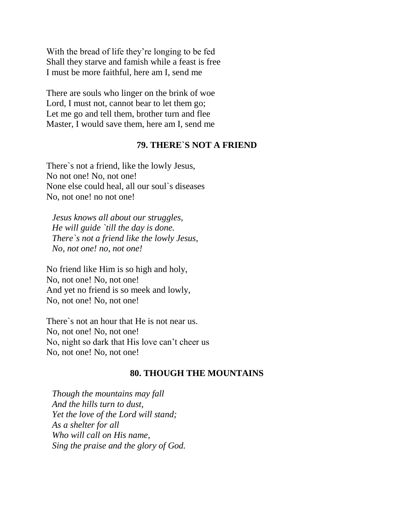With the bread of life they're longing to be fed Shall they starve and famish while a feast is free I must be more faithful, here am I, send me

There are souls who linger on the brink of woe Lord, I must not, cannot bear to let them go; Let me go and tell them, brother turn and flee Master, I would save them, here am I, send me

# **79. THERE`S NOT A FRIEND**

There`s not a friend, like the lowly Jesus, No not one! No, not one! None else could heal, all our soul`s diseases No, not one! no not one!

*Jesus knows all about our struggles, He will guide `till the day is done. There`s not a friend like the lowly Jesus, No, not one! no, not one!*

No friend like Him is so high and holy, No, not one! No, not one! And yet no friend is so meek and lowly, No, not one! No, not one!

There`s not an hour that He is not near us. No, not one! No, not one! No, night so dark that His love can't cheer us No, not one! No, not one!

## **80. THOUGH THE MOUNTAINS**

*Though the mountains may fall And the hills turn to dust, Yet the love of the Lord will stand; As a shelter for all Who will call on His name, Sing the praise and the glory of God.*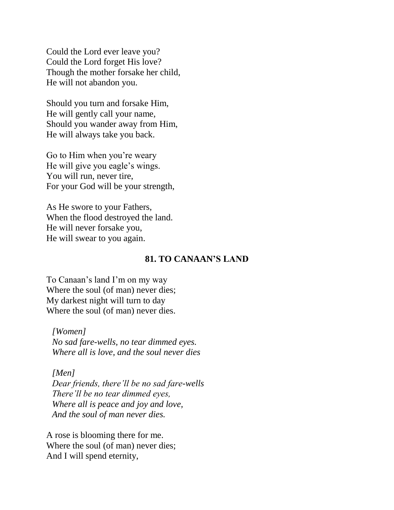Could the Lord ever leave you? Could the Lord forget His love? Though the mother forsake her child, He will not abandon you.

Should you turn and forsake Him, He will gently call your name, Should you wander away from Him, He will always take you back.

Go to Him when you're weary He will give you eagle's wings. You will run, never tire, For your God will be your strength,

As He swore to your Fathers, When the flood destroyed the land. He will never forsake you, He will swear to you again.

## **81. TO CANAAN'S LAND**

To Canaan's land I'm on my way Where the soul (of man) never dies; My darkest night will turn to day Where the soul (of man) never dies.

*[Women] No sad fare-wells, no tear dimmed eyes. Where all is love, and the soul never dies*

*[Men] Dear friends, there'll be no sad fare-wells There'll be no tear dimmed eyes, Where all is peace and joy and love, And the soul of man never dies.*

A rose is blooming there for me. Where the soul (of man) never dies; And I will spend eternity,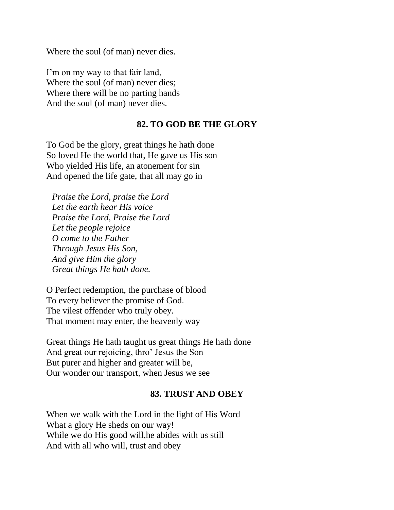Where the soul (of man) never dies.

I'm on my way to that fair land, Where the soul (of man) never dies: Where there will be no parting hands And the soul (of man) never dies.

# **82. TO GOD BE THE GLORY**

To God be the glory, great things he hath done So loved He the world that, He gave us His son Who yielded His life, an atonement for sin And opened the life gate, that all may go in

*Praise the Lord, praise the Lord Let the earth hear His voice Praise the Lord, Praise the Lord Let the people rejoice O come to the Father Through Jesus His Son, And give Him the glory Great things He hath done.*

O Perfect redemption, the purchase of blood To every believer the promise of God. The vilest offender who truly obey. That moment may enter, the heavenly way

Great things He hath taught us great things He hath done And great our rejoicing, thro' Jesus the Son But purer and higher and greater will be, Our wonder our transport, when Jesus we see

## **83. TRUST AND OBEY**

When we walk with the Lord in the light of His Word What a glory He sheds on our way! While we do His good will,he abides with us still And with all who will, trust and obey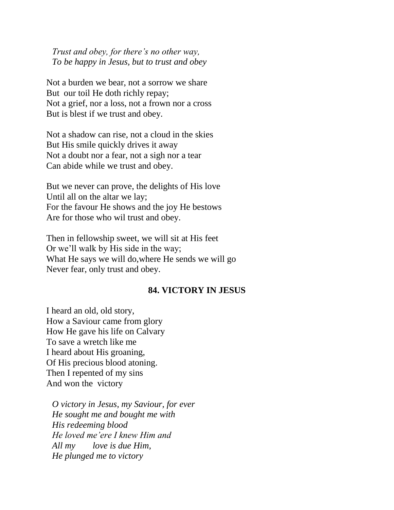*Trust and obey, for there's no other way, To be happy in Jesus, but to trust and obey*

Not a burden we bear, not a sorrow we share But our toil He doth richly repay; Not a grief, nor a loss, not a frown nor a cross But is blest if we trust and obey.

Not a shadow can rise, not a cloud in the skies But His smile quickly drives it away Not a doubt nor a fear, not a sigh nor a tear Can abide while we trust and obey.

But we never can prove, the delights of His love Until all on the altar we lay; For the favour He shows and the joy He bestows Are for those who wil trust and obey.

Then in fellowship sweet, we will sit at His feet Or we'll walk by His side in the way; What He says we will do,where He sends we will go Never fear, only trust and obey.

### **84. VICTORY IN JESUS**

I heard an old, old story, How a Saviour came from glory How He gave his life on Calvary To save a wretch like me I heard about His groaning, Of His precious blood atoning. Then I repented of my sins And won the victory

*O victory in Jesus, my Saviour, for ever He sought me and bought me with His redeeming blood He loved me'ere I knew Him and All my love is due Him, He plunged me to victory*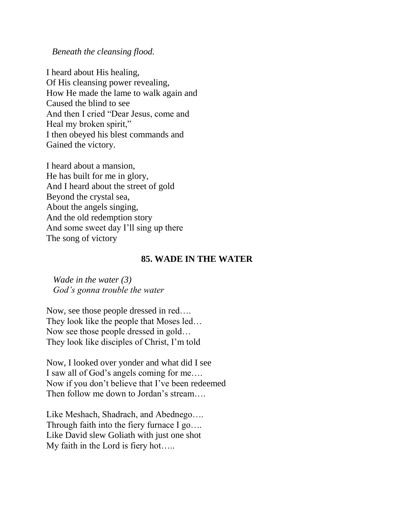### *Beneath the cleansing flood.*

I heard about His healing, Of His cleansing power revealing, How He made the lame to walk again and Caused the blind to see And then I cried "Dear Jesus, come and Heal my broken spirit," I then obeyed his blest commands and Gained the victory.

I heard about a mansion, He has built for me in glory, And I heard about the street of gold Beyond the crystal sea, About the angels singing, And the old redemption story And some sweet day I'll sing up there The song of victory

## **85. WADE IN THE WATER**

 *Wade in the water (3) God's gonna trouble the water*

Now, see those people dressed in red…. They look like the people that Moses led… Now see those people dressed in gold… They look like disciples of Christ, I'm told

Now, I looked over yonder and what did I see I saw all of God's angels coming for me…. Now if you don't believe that I've been redeemed Then follow me down to Jordan's stream….

Like Meshach, Shadrach, and Abednego…. Through faith into the fiery furnace I go…. Like David slew Goliath with just one shot My faith in the Lord is fiery hot…..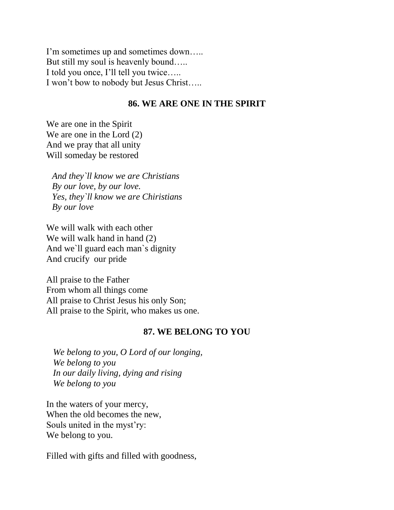I'm sometimes up and sometimes down….. But still my soul is heavenly bound….. I told you once, I'll tell you twice….. I won't bow to nobody but Jesus Christ…..

# **86. WE ARE ONE IN THE SPIRIT**

We are one in the Spirit We are one in the Lord (2) And we pray that all unity Will someday be restored

*And they`ll know we are Christians By our love, by our love. Yes, they`ll know we are Chiristians By our love*

We will walk with each other We will walk hand in hand (2) And we`ll guard each man`s dignity And crucify our pride

All praise to the Father From whom all things come All praise to Christ Jesus his only Son; All praise to the Spirit, who makes us one.

## **87. WE BELONG TO YOU**

 *We belong to you, O Lord of our longing, We belong to you In our daily living, dying and rising We belong to you*

In the waters of your mercy, When the old becomes the new, Souls united in the myst'ry: We belong to you.

Filled with gifts and filled with goodness,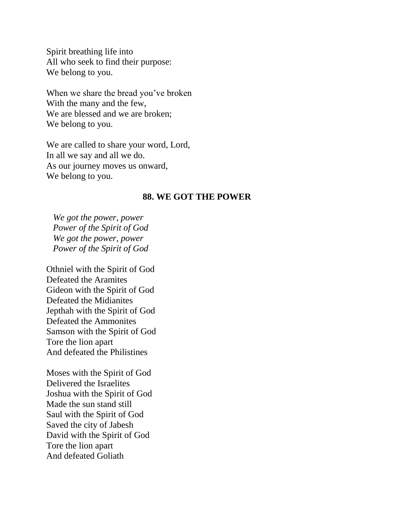Spirit breathing life into All who seek to find their purpose: We belong to you.

When we share the bread you've broken With the many and the few, We are blessed and we are broken: We belong to you.

We are called to share your word, Lord, In all we say and all we do. As our journey moves us onward, We belong to you.

#### **88. WE GOT THE POWER**

 *We got the power, power Power of the Spirit of God We got the power, power Power of the Spirit of God*

Othniel with the Spirit of God Defeated the Aramites Gideon with the Spirit of God Defeated the Midianites Jepthah with the Spirit of God Defeated the Ammonites Samson with the Spirit of God Tore the lion apart And defeated the Philistines

Moses with the Spirit of God Delivered the Israelites Joshua with the Spirit of God Made the sun stand still Saul with the Spirit of God Saved the city of Jabesh David with the Spirit of God Tore the lion apart And defeated Goliath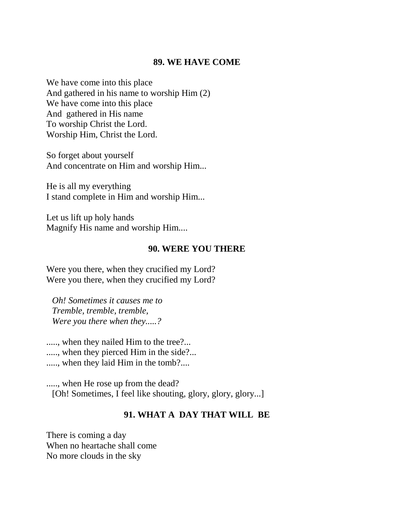### **89. WE HAVE COME**

We have come into this place And gathered in his name to worship Him (2) We have come into this place And gathered in His name To worship Christ the Lord. Worship Him, Christ the Lord.

So forget about yourself And concentrate on Him and worship Him...

He is all my everything I stand complete in Him and worship Him...

Let us lift up holy hands Magnify His name and worship Him....

### **90. WERE YOU THERE**

Were you there, when they crucified my Lord? Were you there, when they crucified my Lord?

*Oh! Sometimes it causes me to Tremble, tremble, tremble, Were you there when they.....?*

....., when they nailed Him to the tree?... ....., when they pierced Him in the side?... ....., when they laid Him in the tomb?....

....., when He rose up from the dead? [Oh! Sometimes, I feel like shouting, glory, glory, glory...]

# **91. WHAT A DAY THAT WILL BE**

There is coming a day When no heartache shall come No more clouds in the sky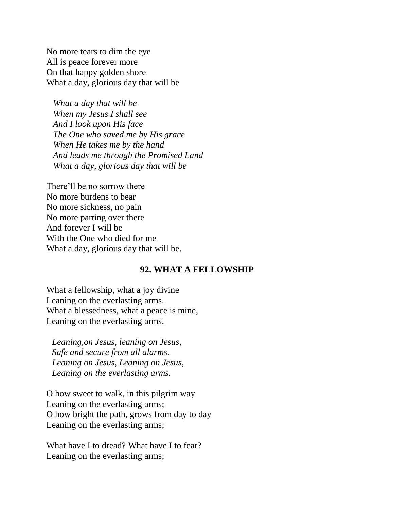No more tears to dim the eye All is peace forever more On that happy golden shore What a day, glorious day that will be

 *What a day that will be When my Jesus I shall see And I look upon His face The One who saved me by His grace When He takes me by the hand And leads me through the Promised Land What a day, glorious day that will be*

There'll be no sorrow there No more burdens to bear No more sickness, no pain No more parting over there And forever I will be With the One who died for me What a day, glorious day that will be.

### **92. WHAT A FELLOWSHIP**

What a fellowship, what a joy divine Leaning on the everlasting arms. What a blessedness, what a peace is mine, Leaning on the everlasting arms.

*Leaning,on Jesus, leaning on Jesus, Safe and secure from all alarms. Leaning on Jesus, Leaning on Jesus, Leaning on the everlasting arms.*

O how sweet to walk, in this pilgrim way Leaning on the everlasting arms; O how bright the path, grows from day to day Leaning on the everlasting arms;

What have I to dread? What have I to fear? Leaning on the everlasting arms;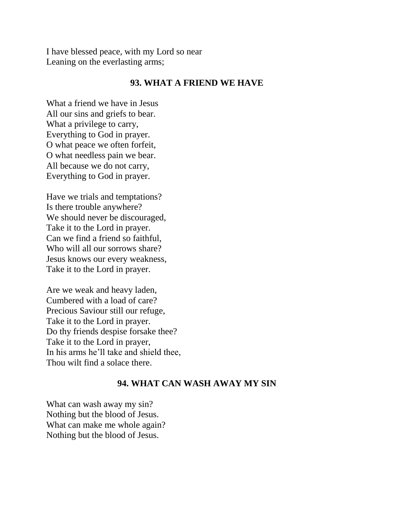I have blessed peace, with my Lord so near Leaning on the everlasting arms;

# **93. WHAT A FRIEND WE HAVE**

What a friend we have in Jesus All our sins and griefs to bear. What a privilege to carry, Everything to God in prayer. O what peace we often forfeit, O what needless pain we bear. All because we do not carry, Everything to God in prayer.

Have we trials and temptations? Is there trouble anywhere? We should never be discouraged, Take it to the Lord in prayer. Can we find a friend so faithful, Who will all our sorrows share? Jesus knows our every weakness, Take it to the Lord in prayer.

Are we weak and heavy laden, Cumbered with a load of care? Precious Saviour still our refuge, Take it to the Lord in prayer. Do thy friends despise forsake thee? Take it to the Lord in prayer, In his arms he'll take and shield thee, Thou wilt find a solace there.

# **94. WHAT CAN WASH AWAY MY SIN**

What can wash away my sin? Nothing but the blood of Jesus. What can make me whole again? Nothing but the blood of Jesus.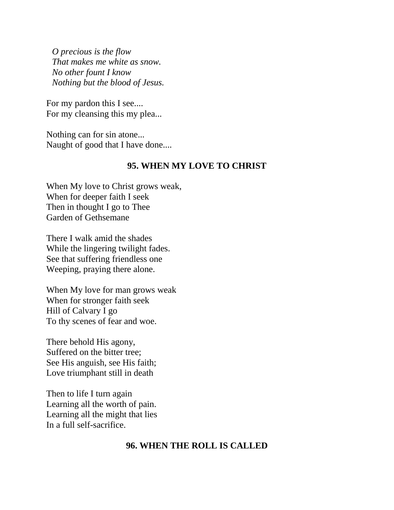*O precious is the flow That makes me white as snow. No other fount I know Nothing but the blood of Jesus.*

For my pardon this I see.... For my cleansing this my plea...

Nothing can for sin atone... Naught of good that I have done....

# **95. WHEN MY LOVE TO CHRIST**

When My love to Christ grows weak, When for deeper faith I seek Then in thought I go to Thee Garden of Gethsemane

There I walk amid the shades While the lingering twilight fades. See that suffering friendless one Weeping, praying there alone.

When My love for man grows weak When for stronger faith seek Hill of Calvary I go To thy scenes of fear and woe.

There behold His agony, Suffered on the bitter tree; See His anguish, see His faith; Love triumphant still in death

Then to life I turn again Learning all the worth of pain. Learning all the might that lies In a full self-sacrifice.

# **96. WHEN THE ROLL IS CALLED**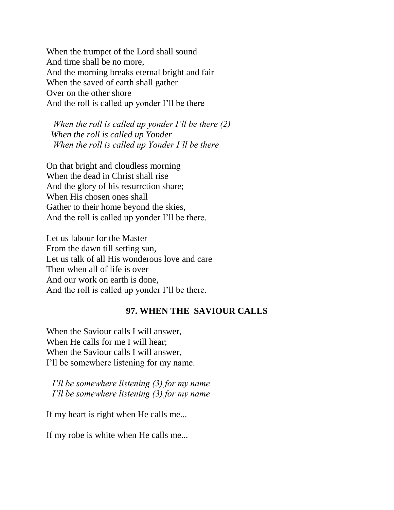When the trumpet of the Lord shall sound And time shall be no more, And the morning breaks eternal bright and fair When the saved of earth shall gather Over on the other shore And the roll is called up yonder I'll be there

 *When the roll is called up yonder I'll be there (2) When the roll is called up Yonder When the roll is called up Yonder I'll be there* 

On that bright and cloudless morning When the dead in Christ shall rise And the glory of his resurrction share; When His chosen ones shall Gather to their home beyond the skies, And the roll is called up yonder I'll be there.

Let us labour for the Master From the dawn till setting sun, Let us talk of all His wonderous love and care Then when all of life is over And our work on earth is done, And the roll is called up yonder I'll be there.

# **97. WHEN THE SAVIOUR CALLS**

When the Saviour calls I will answer, When He calls for me I will hear; When the Saviour calls I will answer, I'll be somewhere listening for my name.

*I'll be somewhere listening (3) for my name I'll be somewhere listening (3) for my name*

If my heart is right when He calls me...

If my robe is white when He calls me...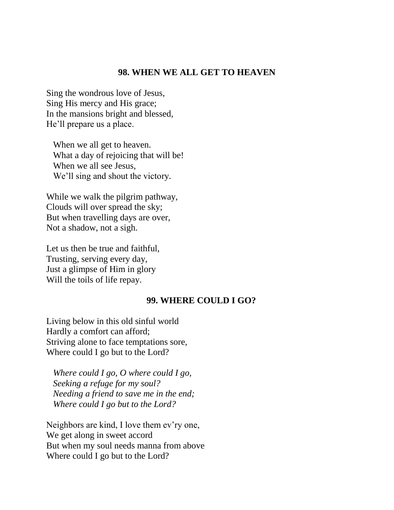## **98. WHEN WE ALL GET TO HEAVEN**

Sing the wondrous love of Jesus, Sing His mercy and His grace; In the mansions bright and blessed, He'll prepare us a place.

 When we all get to heaven. What a day of rejoicing that will be! When we all see Jesus, We'll sing and shout the victory.

While we walk the pilgrim pathway, Clouds will over spread the sky; But when travelling days are over, Not a shadow, not a sigh.

Let us then be true and faithful, Trusting, serving every day, Just a glimpse of Him in glory Will the toils of life repay.

### **99. WHERE COULD I GO?**

Living below in this old sinful world Hardly a comfort can afford; Striving alone to face temptations sore, Where could I go but to the Lord?

 *Where could I go, O where could I go, Seeking a refuge for my soul? Needing a friend to save me in the end; Where could I go but to the Lord?*

Neighbors are kind, I love them ev'ry one, We get along in sweet accord But when my soul needs manna from above Where could I go but to the Lord?